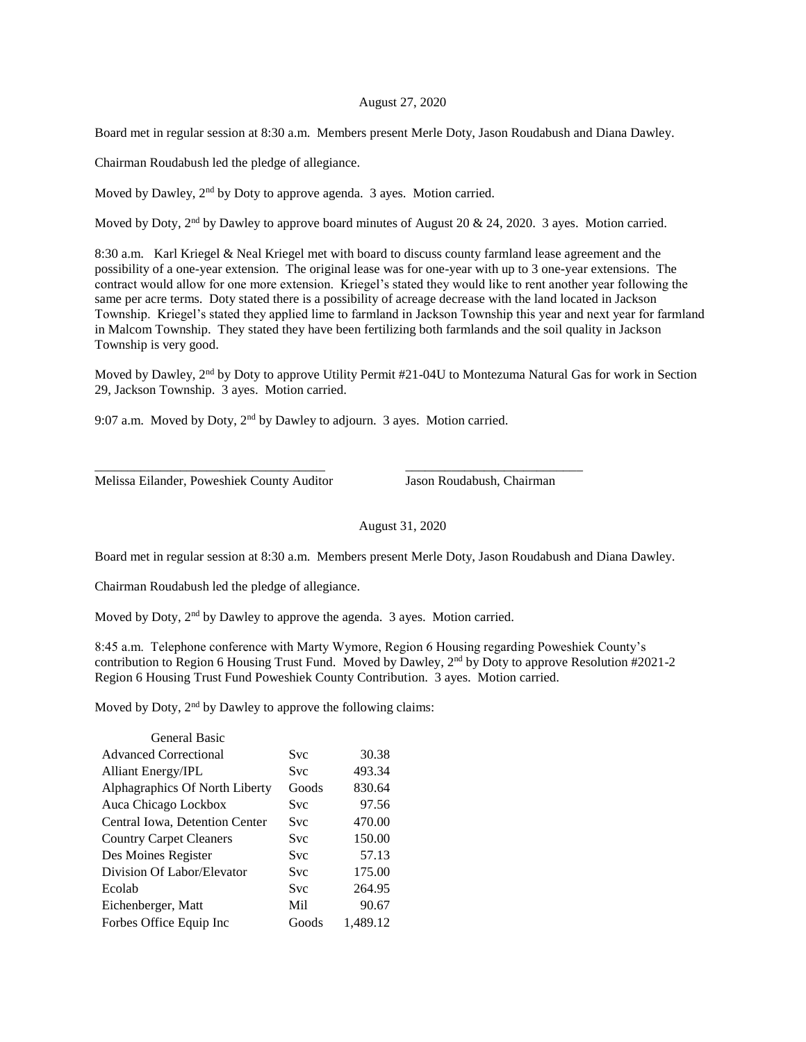## August 27, 2020

Board met in regular session at 8:30 a.m. Members present Merle Doty, Jason Roudabush and Diana Dawley.

Chairman Roudabush led the pledge of allegiance.

Moved by Dawley, 2<sup>nd</sup> by Doty to approve agenda. 3 ayes. Motion carried.

Moved by Doty, 2<sup>nd</sup> by Dawley to approve board minutes of August 20 & 24, 2020. 3 ayes. Motion carried.

8:30 a.m. Karl Kriegel & Neal Kriegel met with board to discuss county farmland lease agreement and the possibility of a one-year extension. The original lease was for one-year with up to 3 one-year extensions. The contract would allow for one more extension. Kriegel's stated they would like to rent another year following the same per acre terms. Doty stated there is a possibility of acreage decrease with the land located in Jackson Township. Kriegel's stated they applied lime to farmland in Jackson Township this year and next year for farmland in Malcom Township. They stated they have been fertilizing both farmlands and the soil quality in Jackson Township is very good.

Moved by Dawley, 2nd by Doty to approve Utility Permit #21-04U to Montezuma Natural Gas for work in Section 29, Jackson Township. 3 ayes. Motion carried.

9:07 a.m. Moved by Doty, 2<sup>nd</sup> by Dawley to adjourn. 3 ayes. Motion carried.

\_\_\_\_\_\_\_\_\_\_\_\_\_\_\_\_\_\_\_\_\_\_\_\_\_\_\_\_\_\_\_\_\_\_\_ \_\_\_\_\_\_\_\_\_\_\_\_\_\_\_\_\_\_\_\_\_\_\_\_\_\_\_

Melissa Eilander, Poweshiek County Auditor Jason Roudabush, Chairman

August 31, 2020

Board met in regular session at 8:30 a.m. Members present Merle Doty, Jason Roudabush and Diana Dawley.

Chairman Roudabush led the pledge of allegiance.

Moved by Doty, 2<sup>nd</sup> by Dawley to approve the agenda. 3 ayes. Motion carried.

8:45 a.m. Telephone conference with Marty Wymore, Region 6 Housing regarding Poweshiek County's contribution to Region 6 Housing Trust Fund. Moved by Dawley, 2<sup>nd</sup> by Doty to approve Resolution #2021-2 Region 6 Housing Trust Fund Poweshiek County Contribution. 3 ayes. Motion carried.

Moved by Doty, 2<sup>nd</sup> by Dawley to approve the following claims:

| General Basic                  |            |          |
|--------------------------------|------------|----------|
| <b>Advanced Correctional</b>   | <b>Svc</b> | 30.38    |
| <b>Alliant Energy/IPL</b>      | <b>Svc</b> | 493.34   |
| Alphagraphics Of North Liberty | Goods      | 830.64   |
| Auca Chicago Lockbox           | <b>Svc</b> | 97.56    |
| Central Iowa, Detention Center | <b>Svc</b> | 470.00   |
| <b>Country Carpet Cleaners</b> | <b>Svc</b> | 150.00   |
| Des Moines Register            | <b>Svc</b> | 57.13    |
| Division Of Labor/Elevator     | <b>Svc</b> | 175.00   |
| Ecolab                         | <b>Svc</b> | 264.95   |
| Eichenberger, Matt             | Mil        | 90.67    |
| Forbes Office Equip Inc        | Goods      | 1.489.12 |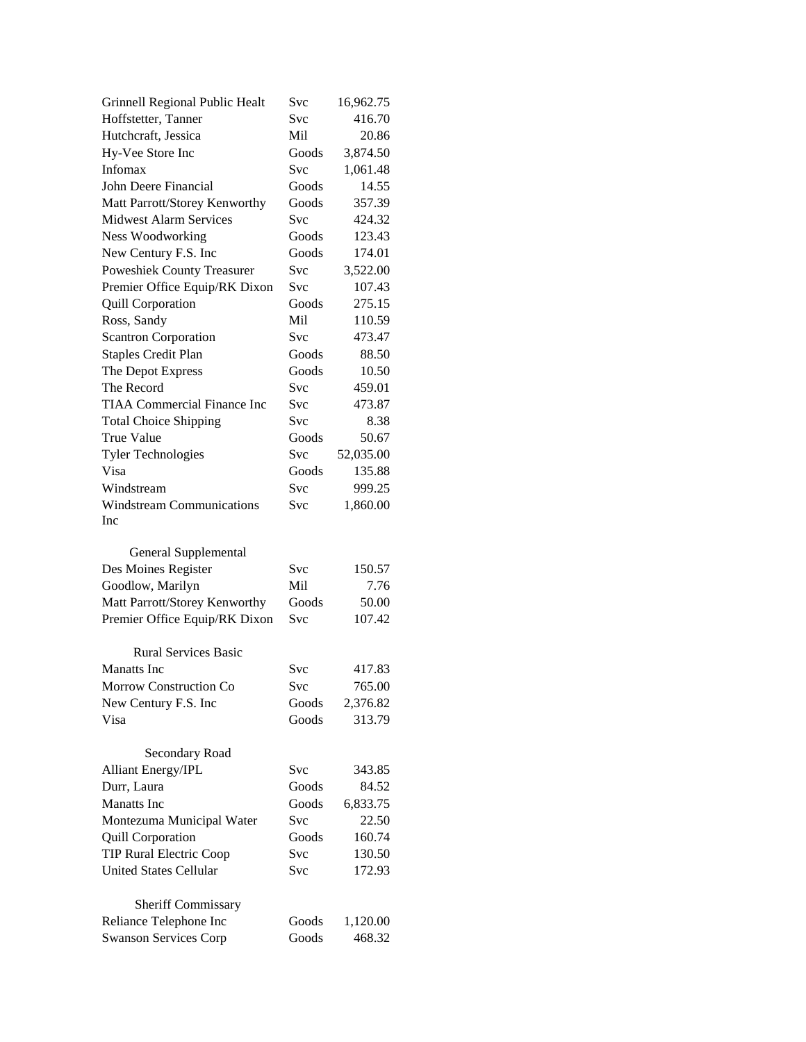| Grinnell Regional Public Healt     | Svc        | 16,962.75 |
|------------------------------------|------------|-----------|
| Hoffstetter, Tanner                | Svc        | 416.70    |
| Hutchcraft, Jessica                | Mil        | 20.86     |
| Hy-Vee Store Inc                   | Goods      | 3,874.50  |
| Infomax                            | Svc        | 1,061.48  |
| John Deere Financial               | Goods      | 14.55     |
| Matt Parrott/Storey Kenworthy      | Goods      | 357.39    |
| <b>Midwest Alarm Services</b>      | Svc        | 424.32    |
| <b>Ness Woodworking</b>            | Goods      | 123.43    |
| New Century F.S. Inc               | Goods      | 174.01    |
| <b>Poweshiek County Treasurer</b>  | Svc        | 3,522.00  |
| Premier Office Equip/RK Dixon      | Svc        | 107.43    |
| <b>Quill Corporation</b>           | Goods      | 275.15    |
| Ross, Sandy                        | Mil        | 110.59    |
| <b>Scantron Corporation</b>        | Svc        | 473.47    |
| <b>Staples Credit Plan</b>         | Goods      | 88.50     |
| The Depot Express                  | Goods      | 10.50     |
| The Record                         | Svc        | 459.01    |
| <b>TIAA Commercial Finance Inc</b> | Svc        | 473.87    |
| <b>Total Choice Shipping</b>       | <b>Svc</b> | 8.38      |
| <b>True Value</b>                  | Goods      | 50.67     |
| <b>Tyler Technologies</b>          | Svc        | 52,035.00 |
| Visa                               | Goods      | 135.88    |
| Windstream                         | Svc        | 999.25    |
| <b>Windstream Communications</b>   | Svc        | 1,860.00  |
| Inc                                |            |           |
|                                    |            |           |
|                                    |            |           |
| General Supplemental               |            |           |
| Des Moines Register                | Svc        | 150.57    |
| Goodlow, Marilyn                   | Mil        | 7.76      |
| Matt Parrott/Storey Kenworthy      | Goods      | 50.00     |
| Premier Office Equip/RK Dixon      | Svc        | 107.42    |
|                                    |            |           |
| <b>Rural Services Basic</b>        |            |           |
| <b>Manatts</b> Inc                 | Svc        | 417.83    |
| Morrow Construction Co             | Svc        | 765.00    |
| New Century F.S. Inc               | Goods      | 2,376.82  |
| Visa                               | Goods      | 313.79    |
|                                    |            |           |
| Secondary Road                     |            |           |
| <b>Alliant Energy/IPL</b>          | Svc        | 343.85    |
| Durr, Laura                        | Goods      | 84.52     |
| Manatts Inc                        | Goods      | 6,833.75  |
| Montezuma Municipal Water          | Svc        | 22.50     |
| <b>Quill Corporation</b>           | Goods      | 160.74    |
| <b>TIP Rural Electric Coop</b>     | Svc        | 130.50    |
| <b>United States Cellular</b>      | Svc        | 172.93    |
|                                    |            |           |
| Sheriff Commissary                 |            |           |
| Reliance Telephone Inc             | Goods      | 1,120.00  |